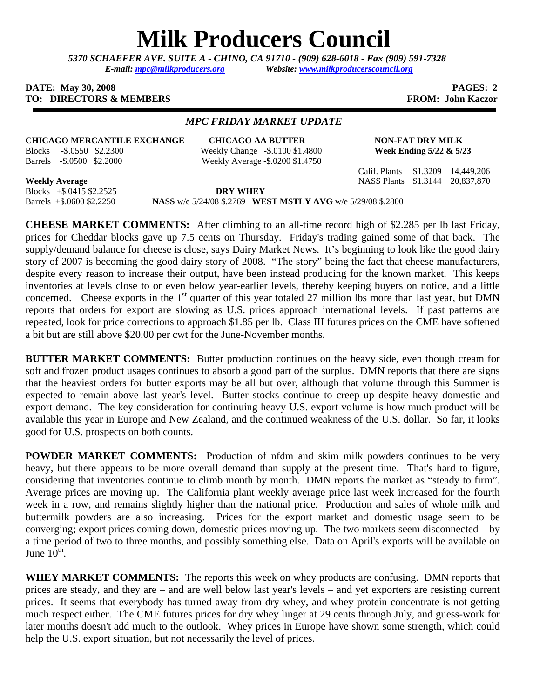# **Milk Producers Council**

*5370 SCHAEFER AVE. SUITE A* **-** *CHINO, CA 91710 - (909) 628-6018 - Fax (909) 591-7328 E-mail: mpc@milkproducers.org Website: www.milkproducerscouncil.org* 

### **DATE:** May 30, 2008 **PAGES: 2 TO: DIRECTORS & MEMBERS FROM: John Kaczor**

# *MPC FRIDAY MARKET UPDATE*

# **CHICAGO MERCANTILE EXCHANGE CHICAGO AA BUTTER NON-FAT DRY MILK**

Blocks -\$.0550 \$2.2300 Weekly Change -\$.0100 \$1.4800 **Week Ending 5/22 & 5/23**  Barrels -\$.0500 \$2.2000 Weekly Average -**\$**.0200 \$1.4750

Calif. Plants \$1.3209 14,449,206

**Weekly Average** NASS Plants \$1.3144 20,837,870

Blocks +\$.0415 \$2.2525 **DRY WHEY**  Barrels +\$.0600 \$2.2250 **NASS** w/e 5/24/08 \$.2769 **WEST MSTLY AVG** w/e 5/29/08 \$.2800

**CHEESE MARKET COMMENTS:** After climbing to an all-time record high of \$2.285 per lb last Friday, prices for Cheddar blocks gave up 7.5 cents on Thursday. Friday's trading gained some of that back. The supply/demand balance for cheese is close, says Dairy Market News. It's beginning to look like the good dairy story of 2007 is becoming the good dairy story of 2008. "The story" being the fact that cheese manufacturers, despite every reason to increase their output, have been instead producing for the known market. This keeps inventories at levels close to or even below year-earlier levels, thereby keeping buyers on notice, and a little concerned. Cheese exports in the 1<sup>st</sup> quarter of this year totaled 27 million lbs more than last year, but DMN reports that orders for export are slowing as U.S. prices approach international levels. If past patterns are repeated, look for price corrections to approach \$1.85 per lb. Class III futures prices on the CME have softened a bit but are still above \$20.00 per cwt for the June-November months.

**BUTTER MARKET COMMENTS:** Butter production continues on the heavy side, even though cream for soft and frozen product usages continues to absorb a good part of the surplus. DMN reports that there are signs that the heaviest orders for butter exports may be all but over, although that volume through this Summer is expected to remain above last year's level. Butter stocks continue to creep up despite heavy domestic and export demand. The key consideration for continuing heavy U.S. export volume is how much product will be available this year in Europe and New Zealand, and the continued weakness of the U.S. dollar. So far, it looks good for U.S. prospects on both counts.

**POWDER MARKET COMMENTS:** Production of nfdm and skim milk powders continues to be very heavy, but there appears to be more overall demand than supply at the present time. That's hard to figure, considering that inventories continue to climb month by month. DMN reports the market as "steady to firm". Average prices are moving up. The California plant weekly average price last week increased for the fourth week in a row, and remains slightly higher than the national price. Production and sales of whole milk and buttermilk powders are also increasing. Prices for the export market and domestic usage seem to be converging; export prices coming down, domestic prices moving up. The two markets seem disconnected – by a time period of two to three months, and possibly something else. Data on April's exports will be available on June  $10^{th}$ .

**WHEY MARKET COMMENTS:** The reports this week on whey products are confusing. DMN reports that prices are steady, and they are – and are well below last year's levels – and yet exporters are resisting current prices. It seems that everybody has turned away from dry whey, and whey protein concentrate is not getting much respect either. The CME futures prices for dry whey linger at 29 cents through July, and guess-work for later months doesn't add much to the outlook. Whey prices in Europe have shown some strength, which could help the U.S. export situation, but not necessarily the level of prices.